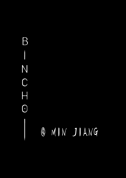B N  $\bigcap$  $\mathsf H$  $\bigodot$ @ MIN JIANG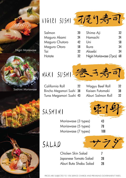



Sashimi Moriawase

California Roll

 $\mathcal{L} = \mathcal{L}$ 



| Salmon              |
|---------------------|
| Maguro Akami        |
| Maguro Chutoro      |
| <b>Maguro Otoro</b> |
| Tai                 |
| Hotate              |
|                     |



| 20 | Shima Aji                  | 32 |
|----|----------------------------|----|
| 24 | Hamachi                    | 24 |
| 42 | Uni                        | 58 |
| 58 | Ikura                      | 34 |
| 32 | Akaebi                     | 34 |
| 32 | Nigiri Moriawase (7pcs) 68 |    |



California Roll Bincho Megamori Sushi 38 Tuna Megamori Sushi 43 22 Wagyu Beef Roll Kaisen Futomaki Aburi Salmon Roll 32 38 32

SASHIMI 新生

| Moriawase (3 types) | 43  |
|---------------------|-----|
| Moriawase (5 types) | 78  |
| Moriawase (7 types) | 108 |

SALAD

Chicken Skin Salad Japanese Tomato Salad Aburi Buta Shabu Salad 7 28 28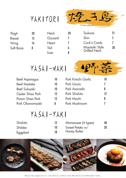

| Thigh         | 20 |
|---------------|----|
| <b>Breast</b> | 13 |
| Wing          | 14 |
| Soft Bone     | 8  |

| -20 | Tsukune                        | 71 |
|-----|--------------------------------|----|
|     | Skin                           |    |
| 7   | Cock's Comb                    |    |
| 6   | Miyazaki Style<br>Grilled Neck | 30 |
|     |                                |    |



Neck

**Heart** 

Tail

Liver

Gizzard

8



| <b>Beef Asparagus</b> | 10 |
|-----------------------|----|
| <b>Beef Maitake</b>   | 10 |
| <b>Beef Sukiyaki</b>  | 10 |
| Oyster Shiso Pork     | 12 |
| Prawn Shiso Pork      | 12 |
| Pork Okonomiyaki      | 8  |

| Pork Kimchi Garlic |          |
|--------------------|----------|
| Pork Uzura         | $\prime$ |
| Pork Avocado       | 8        |
| Pork Shishito      | 12       |
| Pork Mochi         | 8        |
| Pork Mushroom      |          |
|                    |          |

# YASAI-YAKI

| Shishito |    | Moriawase (4 types) | 40 |
|----------|----|---------------------|----|
| Shitake  |    | Sweet Potato w/     | 20 |
| Eggplant | 18 | <b>Honey Butter</b> |    |



PRICES ARE SUBJECTED TO 10% SERVICE CHARGE AND PREVAILING GOVERNMENT TAXES.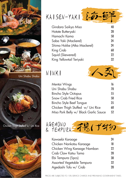



Uni Shabu Shabu



Chicken Thigh Stuffed w/ Uni Rice



#### 海鲜 KAISEN-YAKI

| Gindara Saikyo Miso         | 40 |
|-----------------------------|----|
| Hotate Butteryaki           | 28 |
| Hamachi Kama                | 58 |
| Saba Yaki (Mackerel)        | 24 |
| Shima Hokke (Atka Mackerel) | 24 |
| King Crab                   | 68 |
| Squid (Skewered)            | 22 |
| King Yellowtail Teriyaki    | 32 |

## NINKI



| Mentai Wings                          | 16 |
|---------------------------------------|----|
| Uni Shabu Shabu                       | 78 |
| <b>Bincho Style Octopus</b>           | 55 |
| <b>Snow Crab Fried Rice</b>           | 58 |
| <b>Bincho Style Beef Tongue</b>       | 35 |
| Chicken Thigh Stuffed w/ Uni Rice     | 68 |
| Miso Pork Belly w/ Black Garlic Sauce | 52 |



| Kawaebi Karaaqe                   | 24 |
|-----------------------------------|----|
| Chicken Nankotsu Karaage          | 18 |
| Chicken Wing Karaage Namban       | 22 |
| Crab Claw Katsu Tama              | 28 |
| Ebi Tempura (5pcs)                | 38 |
| <b>Assorted Vegetable Tempura</b> | 32 |
| Agedashi Tofu w/ Crab             | 28 |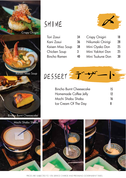

#### SHIME

| Tori Zosui          | 34 |
|---------------------|----|
| Kani Zosui          | 36 |
| Kaisen Miso Soup    | 38 |
| Chicken Soup        | 3  |
| <b>Bincho Ramen</b> | 40 |



| <b>Crispy Onigiri</b> | 18 |
|-----------------------|----|
| Nikumaki Onirigi      | 28 |
| Mini Oyako Don        | 25 |
| Mini Yakitori Don     | 25 |
| Mini Tsukune Don      | 30 |



| <b>Bincho Burnt Cheesecake</b> | 15 |
|--------------------------------|----|
| Homemade Coffee Jelly          | 12 |
| Mochi Shabu Shabu              | 16 |
| Ice Cream Of The Day           | 8  |



PRICES ARE SUBJECTED TO 10% SERVICE CHARGE AND PREVAILING GOVERNMENT TAXES.